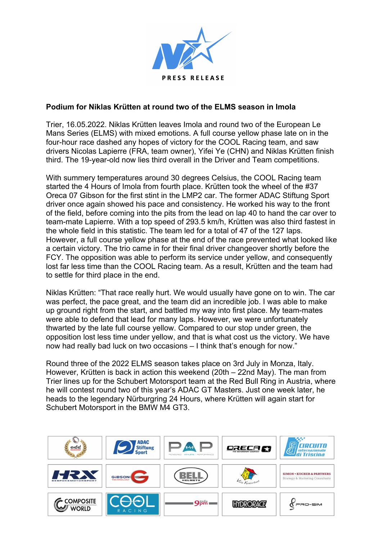

## **Podium for Niklas Krütten at round two of the ELMS season in Imola**

Trier, 16.05.2022. Niklas Krütten leaves Imola and round two of the European Le Mans Series (ELMS) with mixed emotions. A full course yellow phase late on in the four-hour race dashed any hopes of victory for the COOL Racing team, and saw drivers Nicolas Lapierre (FRA, team owner), Yifei Ye (CHN) and Niklas Krütten finish third. The 19-year-old now lies third overall in the Driver and Team competitions.

With summery temperatures around 30 degrees Celsius, the COOL Racing team started the 4 Hours of Imola from fourth place. Krütten took the wheel of the #37 Oreca 07 Gibson for the first stint in the LMP2 car. The former ADAC Stiftung Sport driver once again showed his pace and consistency. He worked his way to the front of the field, before coming into the pits from the lead on lap 40 to hand the car over to team-mate Lapierre. With a top speed of 293.5 km/h, Krütten was also third fastest in the whole field in this statistic. The team led for a total of 47 of the 127 laps. However, a full course yellow phase at the end of the race prevented what looked like a certain victory. The trio came in for their final driver changeover shortly before the FCY. The opposition was able to perform its service under yellow, and consequently lost far less time than the COOL Racing team. As a result, Krütten and the team had to settle for third place in the end.

Niklas Krütten: "That race really hurt. We would usually have gone on to win. The car was perfect, the pace great, and the team did an incredible job. I was able to make up ground right from the start, and battled my way into first place. My team-mates were able to defend that lead for many laps. However, we were unfortunately thwarted by the late full course yellow. Compared to our stop under green, the opposition lost less time under yellow, and that is what cost us the victory. We have now had really bad luck on two occasions – I think that's enough for now."

Round three of the 2022 ELMS season takes place on 3rd July in Monza, Italy. However, Krütten is back in action this weekend (20th – 22nd May). The man from Trier lines up for the Schubert Motorsport team at the Red Bull Ring in Austria, where he will contest round two of this year's ADAC GT Masters. Just one week later, he heads to the legendary Nürburgring 24 Hours, where Krütten will again start for Schubert Motorsport in the BMW M4 GT3.